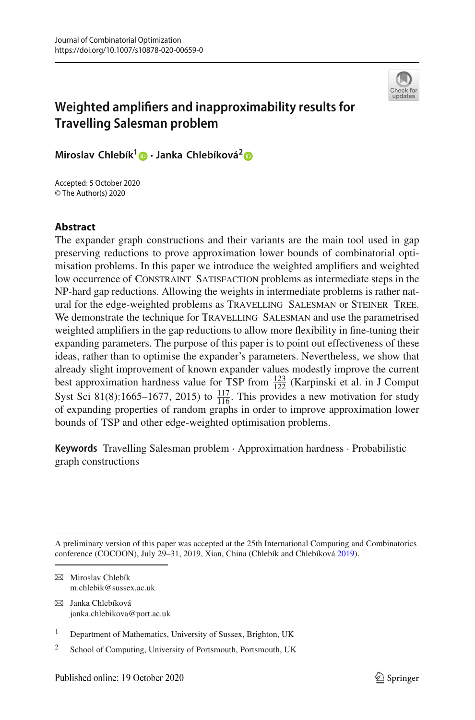

# **Weighted amplifiers and inapproximability results for Travelling Salesman problem**

**Miroslav Chlebík[1](http://orcid.org/0000-0001-8137-479X) · Janka Chlebíková[2](http://orcid.org/0000-0002-9493-2049)**

Accepted: 5 October 2020 © The Author(s) 2020

## **Abstract**

The expander graph constructions and their variants are the main tool used in gap preserving reductions to prove approximation lower bounds of combinatorial optimisation problems. In this paper we introduce the weighted amplifiers and weighted low occurrence of Constraint Satisfaction problems as intermediate steps in the NP-hard gap reductions. Allowing the weights in intermediate problems is rather natural for the edge-weighted problems as Travelling Salesman or Steiner Tree. We demonstrate the technique for TRAVELLING SALESMAN and use the parametrised weighted amplifiers in the gap reductions to allow more flexibility in fine-tuning their expanding parameters. The purpose of this paper is to point out effectiveness of these ideas, rather than to optimise the expander's parameters. Nevertheless, we show that already slight improvement of known expander values modestly improve the current best approximation hardness value for TSP from  $\frac{123}{122}$  (Karpinski et al. in J Comput<br>Sust Sei 81(8):1665, 1677, 2015) to  $^{117}$ . This provides a new motivation for study Syst Sci 81(8):1665–1677, 2015) to  $\frac{117}{116}$ . This provides a new motivation for study of expanding properties of random graphs in order to improve approximation lower bounds of TSP and other edge-weighted optimisation problems.

**Keywords** Travelling Salesman problem · Approximation hardness · Probabilistic graph constructions

- $\boxtimes$  Janka Chlebíková janka.chlebikova@port.ac.uk
- <sup>1</sup> Department of Mathematics, University of Sussex, Brighton, UK
- <sup>2</sup> School of Computing, University of Portsmouth, Portsmouth, UK

A preliminary version of this paper was accepted at the 25th International Computing and Combinatorics conference (COCOON), July 29–31, 2019, Xian, China (Chlebík and Chlebíkov[á](#page-22-0) [2019](#page-22-0)).

 $\boxtimes$  Miroslav Chlebík m.chlebik@sussex.ac.uk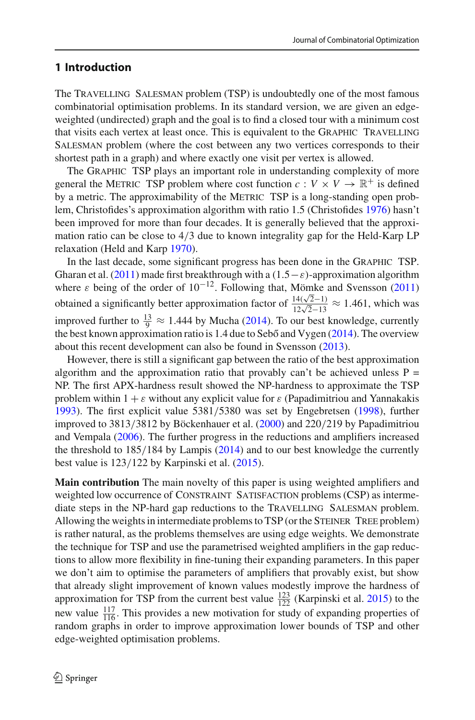# <span id="page-1-0"></span>**1 Introduction**

The Travelling Salesman problem (TSP) is undoubtedly one of the most famous combinatorial optimisation problems. In its standard version, we are given an edgeweighted (undirected) graph and the goal is to find a closed tour with a minimum cost that visits each vertex at least once. This is equivalent to the Graphic Travelling Salesman problem (where the cost between any two vertices corresponds to their shortest path in a graph) and where exactly one visit per vertex is allowed.

The Graphic TSP plays an important role in understanding complexity of more general the METRIC TSP problem where cost function  $c: V \times V \to \mathbb{R}^+$  is defined by a metric. The approximability of the METRIC TSP is a long-standing open problem, Christofides's approximation algorithm with ratio 1.5 (Christofide[s](#page-22-1) [1976](#page-22-1)) hasn't been improved for more than four decades. It is generally believed that the approximation ratio can be close to 4/3 due to known integrality gap for the Held-Karp LP relaxation (Held and Kar[p](#page-22-2) [1970](#page-22-2)).

In the last decade, some significant progress has been done in the Graphic TSP. Gharan et al[.](#page-22-3) [\(2011\)](#page-22-3) made first breakthrough with a  $(1.5-\varepsilon)$ -approximation algorithm where  $\varepsilon$  $\varepsilon$  being of the order of 10<sup>-12</sup>. Following that, Mömke and Svensson [\(2011\)](#page-22-4) obtained a significantly better approximation factor of  $\frac{14(\sqrt{2}-1)}{12\sqrt{2}-13} \approx 1.461$ , which was improved further to  $\frac{13}{9} \approx 1.444$  $\frac{13}{9} \approx 1.444$  $\frac{13}{9} \approx 1.444$  by Mucha [\(2014](#page-22-5)). To our best knowledge, currently the best k[n](#page-22-6)own approximation ratio is 1.4 due to Sebő and Vygen  $(2014)$ . The overview about this recent development can also be found in Svensso[n](#page-22-7) [\(2013\)](#page-22-7).

However, there is still a significant gap between the ratio of the best approximation algorithm and the approximation ratio that provably can't be achieved unless  $P =$ NP. The first APX-hardness result showed the NP-hardness to approximate the TSP problem within  $1 + \varepsilon$  $1 + \varepsilon$  $1 + \varepsilon$  without any explicit value for  $\varepsilon$  (Papadimitriou and Yannakakis [1993\)](#page-22-8). The first explicit value 5381/5380 was set by Engebretse[n](#page-22-9) [\(1998](#page-22-9)), further improved to 3813/3812 by Böckenhauer et al[.](#page-22-10) [\(2000](#page-22-10)) and 220/219 by Papadimitriou and Vempal[a](#page-22-11) [\(2006\)](#page-22-11). The further progress in the reductions and amplifiers increased the threshold to 185/184 by Lampi[s](#page-22-12) [\(2014](#page-22-12)) and to our best knowledge the currently best value is 123/122 by Karpinski et al[.](#page-22-13) [\(2015\)](#page-22-13).

**Main contribution** The main novelty of this paper is using weighted amplifiers and weighted low occurrence of CONSTRAINT SATISFACTION problems (CSP) as intermediate steps in the NP-hard gap reductions to the TRAVELLING SALESMAN problem. Allowing the weights in intermediate problems to TSP (or the STEINER TREE problem) is rather natural, as the problems themselves are using edge weights. We demonstrate the technique for TSP and use the parametrised weighted amplifiers in the gap reductions to allow more flexibility in fine-tuning their expanding parameters. In this paper we don't aim to optimise the parameters of amplifiers that provably exist, but show that already slight improvement of known values modestly improve the hardness of approximation for TSP from the current best value  $\frac{123}{122}$  (Karpinski et al[.](#page-22-13) [2015\)](#page-22-13) to the new value  $\frac{117}{116}$ . This provides a new motivation for study of expanding properties of random graphs in order to improve approximation lower bounds of TSP and other edge-weighted optimisation problems.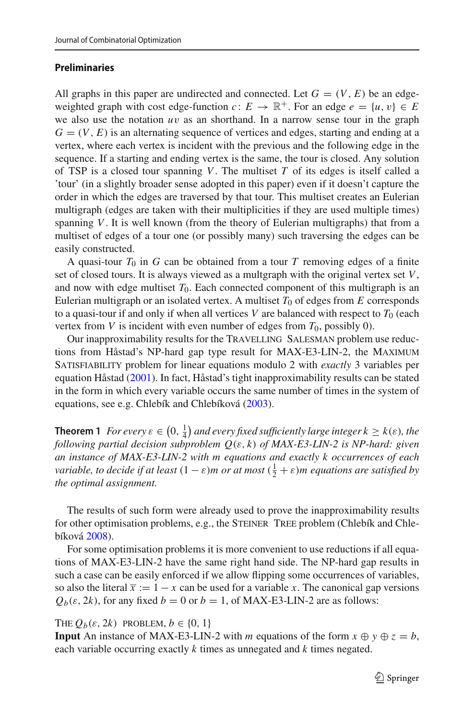#### **Preliminaries**

All graphs in this paper are undirected and connected. Let  $G = (V, E)$  be an edgeweighted graph with cost edge-function  $c: E \to \mathbb{R}^+$ . For an edge  $e = \{u, v\} \in E$ we also use the notation *u*v as an shorthand. In a narrow sense tour in the graph  $G = (V, E)$  is an alternating sequence of vertices and edges, starting and ending at a vertex, where each vertex is incident with the previous and the following edge in the sequence. If a starting and ending vertex is the same, the tour is closed. Any solution of TSP is a closed tour spanning *<sup>V</sup>*. The multiset *<sup>T</sup>* of its edges is itself called a 'tour' (in a slightly broader sense adopted in this paper) even if it doesn't capture the order in which the edges are traversed by that tour. This multiset creates an Eulerian multigraph (edges are taken with their multiplicities if they are used multiple times) spanning *V*. It is well known (from the theory of Eulerian multigraphs) that from a multiset of edges of a tour one (or possibly many) such traversing the edges can be easily constructed.

A quasi-tour  $T_0$  in  $G$  can be obtained from a tour  $T$  removing edges of a finite set of closed tours. It is always viewed as a multgraph with the original vertex set *V*, and now with edge multiset  $T_0$ . Each connected component of this multigraph is an Eulerian multigraph or an isolated vertex. A multiset  $T_0$  of edges from  $E$  corresponds to a quasi-tour if and only if when all vertices  $V$  are balanced with respect to  $T_0$  (each vertex from *V* is incident with even number of edges from  $T_0$ , possibly 0).

Our inapproximability results for the TRAVELLING SALESMAN problem use reductions from Håstad's NP-hard gap type result for MAX-E3-LIN-2, the Maximum Satisfiability problem for linear equations modulo 2 with *exactly* 3 variables per equation Håsta[d](#page-22-14) [\(2001](#page-22-14)). In fact, Håstad's tight inapproximability results can be stated in the form in which every variable occurs the same number of times in the system of equations, see e.g. Chlebík and Chlebíkov[á](#page-22-15) [\(2003](#page-22-15)).

**Theorem 1** For every  $\varepsilon \in (0, \frac{1}{4})$  and every fixed sufficiently large integer  $k \geq k(\varepsilon)$ , the *following partial decision subproblem Q*(ε, *k*) *of MAX-E3-LIN-2 is NP-hard: given an instance of MAX-E3-LIN-2 with m equations and exactly k occurrences of each variable, to decide if at least*  $(1 - \varepsilon)m$  *or at most*  $(\frac{1}{2} + \varepsilon)m$  *equations are satisfied by the optimal assignment.*

The results of such form were already used to prove the inapproximability results for other optimisation problems, e.g., the STEINER TREE problem (Chlebík and Chlebíkov[á](#page-22-16) [2008\)](#page-22-16).

For some optimisation problems it is more convenient to use reductions if all equations of MAX-E3-LIN-2 have the same right hand side. The NP-hard gap results in such a case can be easily enforced if we allow flipping some occurrences of variables, so also the literal  $\bar{x} := 1 - x$  can be used for a variable *x*. The canonical gap versions  $Q_b(\varepsilon, 2k)$ , for any fixed  $b = 0$  or  $b = 1$ , of MAX-E3-LIN-2 are as follows:

THE  $Q_b(\varepsilon, 2k)$  PROBLEM,  $b \in \{0, 1\}$ 

**Input** An instance of MAX-E3-LIN-2 with *m* equations of the form  $x \oplus y \oplus z = b$ , each variable occurring exactly *k* times as unnegated and *k* times negated.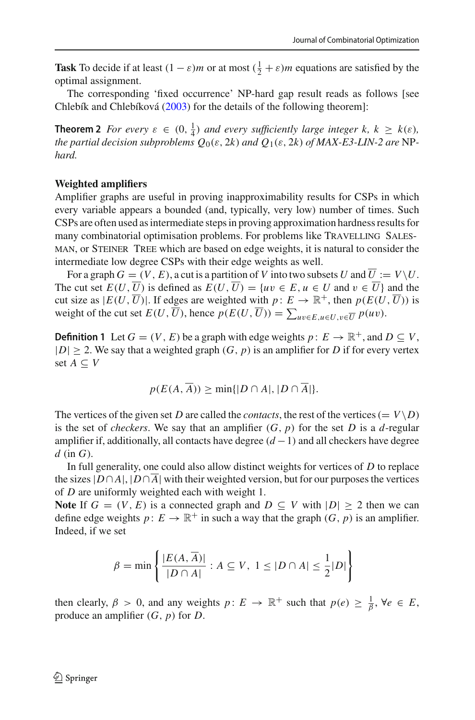**Task** To decide if at least  $(1 - \varepsilon)m$  or at most  $(\frac{1}{2} + \varepsilon)m$  equations are satisfied by the optimal assignment.

The corresponding 'fixed occurrence' NP-hard gap result reads as follows [see Chlebík and Chlebíkov[á](#page-22-15) [\(2003](#page-22-15)) for the details of the following theorem]:

**Theorem 2** *For every*  $\varepsilon \in (0, \frac{1}{4})$  *and every sufficiently large integer*  $k, k \geq k(\varepsilon)$ *, the partial decision subproblems*  $Q_0(\varepsilon, 2k)$  *and*  $Q_1(\varepsilon, 2k)$  *of MAX-E3-LIN-2 are* NP*hard.*

#### **Weighted amplifiers**

Amplifier graphs are useful in proving inapproximability results for CSPs in which every variable appears a bounded (and, typically, very low) number of times. Such CSPs are often used as intermediate steps in proving approximation hardness results for many combinatorial optimisation problems. For problems like TRAVELLING SALESman, or Steiner Tree which are based on edge weights, it is natural to consider the intermediate low degree CSPs with their edge weights as well.

For a graph  $G = (V, E)$ , a cut is a partition of V into two subsets U and  $\overline{U} := V \backslash U$ . The cut set  $E(U, \overline{U})$  is defined as  $E(U, \overline{U}) = \{uv \in E, u \in U \text{ and } v \in \overline{U}\}\$ and the cut size as  $|E(U, \overline{U})|$ . If edges are weighted with  $p: E \to \mathbb{R}^+$ , then  $p(E(U, \overline{U}))$  is weight of the cut set  $E(U, U)$ , hence  $p(E(U, U)) = \sum_{uv \in E, u \in U, v \in \overline{U}} p(uv)$ .

**Definition 1** Let  $G = (V, E)$  be a graph with edge weights  $p: E \to \mathbb{R}^+$ , and  $D \subseteq V$ ,  $|D| \ge 2$ . We say that a weighted graph  $(G, p)$  is an amplifier for *D* if for every vertex set  $A$  ⊂  $V$ 

$$
p(E(A, \overline{A})) \ge \min\{|D \cap A|, |D \cap \overline{A}|\}.
$$

The vertices of the given set *D* are called the *contacts*, the rest of the vertices (=  $V\ D$ ) is the set of *checkers*. We say that an amplifier  $(G, p)$  for the set  $D$  is a  $d$ -regular amplifier if, additionally, all contacts have degree  $(d-1)$  and all checkers have degree *d* (in *G*).

In full generality, one could also allow distinct weights for vertices of *D* to replace the sizes  $|D \cap A|$ ,  $|D \cap \overline{A}|$  with their weighted version, but for our purposes the vertices of *D* are uniformly weighted each with weight 1.

**Note** If  $G = (V, E)$  is a connected graph and  $D \subseteq V$  with  $|D| \ge 2$  then we can define edge weights  $p: E \to \mathbb{R}^+$  in such a way that the graph  $(G, p)$  is an amplifier. Indeed, if we set

$$
\beta = \min \left\{ \frac{|E(A, \overline{A})|}{|D \cap A|} : A \subseteq V, 1 \le |D \cap A| \le \frac{1}{2}|D| \right\}
$$

then clearly,  $\beta > 0$ , and any weights  $p: E \to \mathbb{R}^+$  such that  $p(e) \geq \frac{1}{\beta}$ ,  $\forall e \in E$ , produce an amplifier (*G*, *p*) for *D*.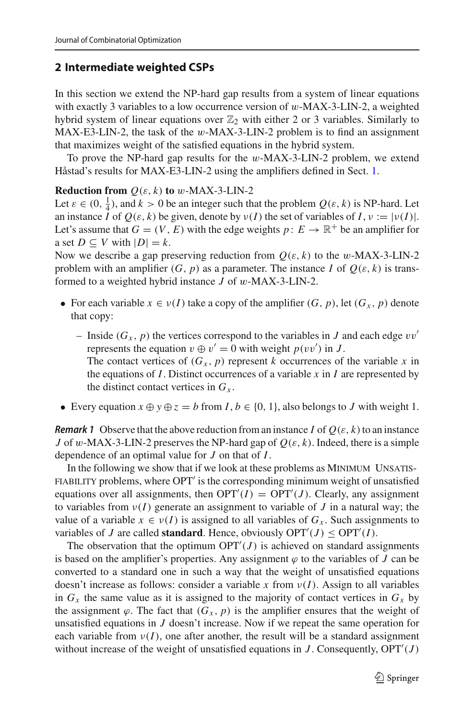# <span id="page-4-1"></span>**2 Intermediate weighted CSPs**

In this section we extend the NP-hard gap results from a system of linear equations with exactly 3 variables to a low occurrence version of w-MAX-3-LIN-2, a weighted hybrid system of linear equations over  $\mathbb{Z}_2$  with either 2 or 3 variables. Similarly to MAX-E3-LIN-2, the task of the w-MAX-3-LIN-2 problem is to find an assignment that maximizes weight of the satisfied equations in the hybrid system.

To prove the NP-hard gap results for the w-MAX-3-LIN-2 problem, we extend Håstad's results for MAX-E3-LIN-2 using the amplifiers defined in Sect. [1.](#page-1-0)

#### **Reduction from**  $Q(\varepsilon, k)$  **to** w-MAX-3-LIN-2

Let  $\varepsilon \in (0, \frac{1}{4})$ , and  $k > 0$  be an integer such that the problem  $Q(\varepsilon, k)$  is NP-hard. Let an instance *I* of  $Q(\varepsilon, k)$  be given, denote by  $\nu(I)$  the set of variables of *I*,  $\nu := |\nu(I)|$ . Let's assume that  $G = (V, E)$  with the edge weights  $p: E \to \mathbb{R}^+$  be an amplifier for a set  $D \subseteq V$  with  $|D| = k$ .

Now we describe a gap preserving reduction from  $Q(\varepsilon, k)$  to the w-MAX-3-LIN-2 problem with an amplifier  $(G, p)$  as a parameter. The instance *I* of  $Q(\varepsilon, k)$  is transformed to a weighted hybrid instance *J* of w-MAX-3-LIN-2.

- For each variable  $x \in v(I)$  take a copy of the amplifier  $(G, p)$ , let  $(G_x, p)$  denote that copy:
	- Inside  $(G_x, p)$  the vertices correspond to the variables in *J* and each edge  $vv'$ represents the equation  $v \oplus v' = 0$  with weight  $p(vv')$  in *J*.
		- The contact vertices of  $(G_x, p)$  represent *k* occurrences of the variable *x* in the equations of  $I$ . Distinct occurrences of a variable  $x$  in  $I$  are represented by the distinct contact vertices in  $G_x$ .
- <span id="page-4-0"></span>• Every equation  $x \oplus y \oplus z = b$  from  $I, b \in \{0, 1\}$ , also belongs to *J* with weight 1.

*Remark 1* Observe that the above reduction from an instance *I* of  $Q(\varepsilon, k)$  to an instance *J* of w-MAX-3-LIN-2 preserves the NP-hard gap of  $Q(\varepsilon, k)$ . Indeed, there is a simple dependence of an optimal value for *J* on that of *I*.

In the following we show that if we look at these problems as MINIMUM UNSATIS-FIABILITY problems, where OPT' is the corresponding minimum weight of unsatisfied equations over all assignments, then  $OPT'(I) = OPT'(J)$ . Clearly, any assignment to variables from  $v(I)$  generate an assignment to variable of *J* in a natural way; the value of a variable  $x \in v(I)$  is assigned to all variables of  $G_x$ . Such assignments to variables of *J* are called **standard**. Hence, obviously  $OPT'(J) \leq OPT'(I)$ .

The observation that the optimum  $OPT'(J)$  is achieved on standard assignments is based on the amplifier's properties. Any assignment  $\varphi$  to the variables of *J* can be converted to a standard one in such a way that the weight of unsatisfied equations doesn't increase as follows: consider a variable x from  $v(I)$ . Assign to all variables in  $G_x$  the same value as it is assigned to the majority of contact vertices in  $G_x$  by the assignment  $\varphi$ . The fact that  $(G_x, p)$  is the amplifier ensures that the weight of unsatisfied equations in *J* doesn't increase. Now if we repeat the same operation for each variable from  $v(I)$ , one after another, the result will be a standard assignment without increase of the weight of unsatisfied equations in  $J$ . Consequently,  $OPT'(J)$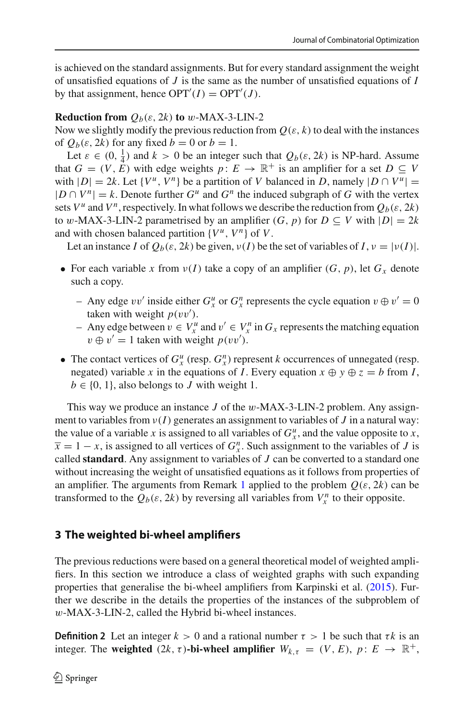is achieved on the standard assignments. But for every standard assignment the weight of unsatisfied equations of *J* is the same as the number of unsatisfied equations of *I* by that assignment, hence  $OPT'(I) = OPT'(J)$ .

### **Reduction from**  $Q_b(\varepsilon, 2k)$  to w-MAX-3-LIN-2

Now we slightly modify the previous reduction from  $Q(\varepsilon, k)$  to deal with the instances of  $Q_b(\varepsilon, 2k)$  for any fixed  $b = 0$  or  $b = 1$ .

Let  $\varepsilon \in (0, \frac{1}{4})$  and  $k > 0$  be an integer such that  $Q_b(\varepsilon, 2k)$  is NP-hard. Assume that  $G = (V, \vec{E})$  with edge weights  $p: E \to \mathbb{R}^+$  is an amplifier for a set  $D \subseteq V$ with  $|D| = 2k$ . Let  $\{V^u, V^n\}$  be a partition of *V* balanced in *D*, namely  $|D \cap V^u|$  =  $|D \cap V^n| = k$ . Denote further  $G^u$  and  $G^n$  the induced subgraph of G with the vertex sets  $V^u$  and  $V^n$ , respectively. In what follows we describe the reduction from  $Q_b(\varepsilon, 2k)$ to w-MAX-3-LIN-2 parametrised by an amplifier  $(G, p)$  for  $D \subseteq V$  with  $|D| = 2k$ and with chosen balanced partition  $\{V^u, V^n\}$  of *V*.

Let an instance *I* of  $Q_b(\varepsilon, 2k)$  be given,  $v(I)$  be the set of variables of  $I, v = |v(I)|$ .

- For each variable x from  $v(I)$  take a copy of an amplifier  $(G, p)$ , let  $G_x$  denote such a copy.
	- $-$  Any edge  $vv'$  inside either  $G_x^u$  or  $G_x^n$  represents the cycle equation  $v \oplus v' = 0$ taken with weight  $p(vv')$ .
	- − Any edge between  $v \in V_x^u$  and  $v' \in V_x^n$  in  $G_x$  represents the matching equation  $v \oplus v' = 1$  taken with weight  $p(vv')$ .
- The contact vertices of  $G_x^u$  (resp.  $G_x^n$ ) represent *k* occurrences of unnegated (resp. negated) variable *x* in the equations of *I*. Every equation  $x \oplus y \oplus z = b$  from *I*,  $b \in \{0, 1\}$ , also belongs to *J* with weight 1.

This way we produce an instance *J* of the w-MAX-3-LIN-2 problem. Any assignment to variables from  $v(I)$  generates an assignment to variables of *J* in a natural way: the value of a variable *x* is assigned to all variables of  $G_x^u$ , and the value opposite to *x*,  $\overline{x} = 1 - x$ , is assigned to all vertices of  $G_x^n$ . Such assignment to the variables of *J* is called **standard**. Any assignment to variables of *J* can be converted to a standard one without increasing the weight of unsatisfied equations as it follows from properties of an amplifier. The arguments from Remark [1](#page-4-0) applied to the problem  $Q(\varepsilon, 2k)$  can be transformed to the  $Q_b(\varepsilon, 2k)$  by reversing all variables from  $V_x^n$  to their opposite.

# <span id="page-5-1"></span>**3 The weighted bi-wheel amplifiers**

The previous reductions were based on a general theoretical model of weighted amplifiers. In this section we introduce a class of weighted graphs with such expanding properties that generalise the bi-wheel amplifiers from Karpinski et al[.](#page-22-13) [\(2015](#page-22-13)). Further we describe in the details the properties of the instances of the subproblem of w-MAX-3-LIN-2, called the Hybrid bi-wheel instances.

<span id="page-5-0"></span>**Definition 2** Let an integer  $k > 0$  and a rational number  $\tau > 1$  be such that  $\tau k$  is an integer. The **weighted**  $(2k, \tau)$ -bi-wheel amplifier  $W_{k,\tau} = (V, E), p: E \to \mathbb{R}^+,$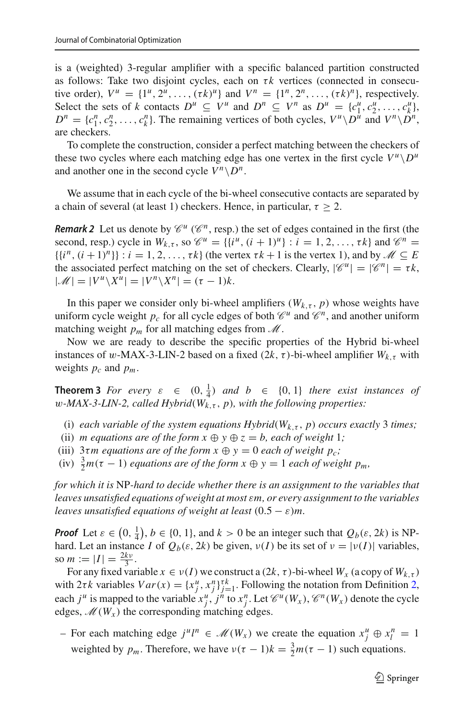is a (weighted) 3-regular amplifier with a specific balanced partition constructed as follows: Take two disjoint cycles, each on  $\tau k$  vertices (connected in consecutive order),  $V^u = \{1^u, 2^u, \dots, (\tau k)^u\}$  and  $V^n = \{1^n, 2^n, \dots, (\tau k)^n\}$ , respectively. Select the sets of *k* contacts  $D^u \subseteq V^u$  and  $D^n \subseteq V^n$  as  $D^u = \{c_1^u, c_2^u, \ldots, c_k^u\}$ ,  $D^n = \{c_1^n, c_2^n, \ldots, c_k^n\}$ . The remaining vertices of both cycles,  $V^n \setminus D^n$  and  $V^n \setminus D^n$ , are checkers.

To complete the construction, consider a perfect matching between the checkers of these two cycles where each matching edge has one vertex in the first cycle  $V^{\mu} \backslash D^{\mu}$ and another one in the second cycle  $V^n \setminus D^n$ .

We assume that in each cycle of the bi-wheel consecutive contacts are separated by a chain of several (at least 1) checkers. Hence, in particular,  $\tau \geq 2$ .

*Remark 2* Let us denote by  $\mathcal{C}^u$  ( $\mathcal{C}^n$ , resp.) the set of edges contained in the first (the second, resp.) cycle in  $W_{k,\tau}$ , so  $\mathscr{C}^u = \{ \{i^u, (i+1)^u\} : i = 1, 2, ..., \tau k \}$  and  $\mathscr{C}^n =$  $\{\{i^n, (i+1)^n\}\}$ :  $i = 1, 2, \ldots, \tau k\}$  (the vertex  $\tau k + 1$  is the vertex 1), and by  $\mathcal{M} \subseteq E$ the associated perfect matching on the set of checkers. Clearly,  $|\mathscr{C}^u| = |\mathscr{C}^n| = \tau k$ ,  $|\mathcal{M}|=|V^u\setminus X^u|=|V^n\setminus X^n|=(\tau-1)k.$ 

In this paper we consider only bi-wheel amplifiers  $(W_{k,\tau}, p)$  whose weights have uniform cycle weight  $p_c$  for all cycle edges of both  $\mathcal{C}^u$  and  $\mathcal{C}^n$ , and another uniform matching weight  $p_m$  for all matching edges from  $\mathcal M$ .

Now we are ready to describe the specific properties of the Hybrid bi-wheel instances of w-MAX-3-LIN-2 based on a fixed  $(2k, \tau)$ -bi-wheel amplifier  $W_{k,\tau}$  with weights  $p_c$  and  $p_m$ .

<span id="page-6-0"></span>**Theorem 3** *For every*  $\varepsilon \in (0, \frac{1}{4})$  *and*  $b \in \{0, 1\}$  *there exist instances of* w*-MAX-3-LIN-2, called Hybrid*(*Wk*,τ , *p*)*, with the following properties:*

(i) *each variable of the system equations Hybrid*( $W_{k,\tau}$ , *p*) *occurs exactly* 3 *times*;

(ii) *m equations are of the form*  $x \oplus y \oplus z = b$ *, each of weight* 1;

(iii)  $3\tau m$  equations are of the form  $x \oplus y = 0$  each of weight  $p_c$ ;

(iv)  $\frac{3}{2}m(\tau - 1)$  *equations are of the form*  $x \oplus y = 1$  *each of weight*  $p_m$ ,

*for which it is* NP*-hard to decide whether there is an assignment to the variables that leaves unsatisfied equations of weight at most* ε*m, or every assignment to the variables leaves unsatisfied equations of weight at least*  $(0.5 - \varepsilon)m$ .

*Proof* Let  $\varepsilon \in (0, \frac{1}{4})$ ,  $b \in \{0, 1\}$ , and  $k > 0$  be an integer such that  $Q_b(\varepsilon, 2k)$  is NPhard. Let an instance *I* of  $Q_b(\varepsilon, 2k)$  be given,  $v(I)$  be its set of  $v = |v(I)|$  variables, so  $m := |I| = \frac{2kv}{3}$ .

For any fixed variable  $x \in v(I)$  we construct a  $(2k, \tau)$ -bi-wheel  $W_x$  (a copy of  $W_{k,\tau}$ ) with  $2\tau k$  variables  $Var(x) = \{x_j^u, x_j^n\}_{j=1}^{\tau k}$ . Following the notation from Definition [2,](#page-5-0) each  $j^u$  is mapped to the variable  $x_j^u$ ,  $j^{\hat{n}}$  to  $x_j^n$ . Let  $\mathcal{C}^u(W_x)$ ,  $\mathcal{C}^n(W_x)$  denote the cycle edges,  $\mathcal{M}(W_x)$  the corresponding matching edges.

− For each matching edge  $j^{\mu}l^{n} \in \mathcal{M}(W_x)$  we create the equation  $x_j^{\mu} \oplus x_l^{n} = 1$ weighted by  $p_m$ . Therefore, we have  $v(\tau - 1)k = \frac{3}{2}m(\tau - 1)$  such equations.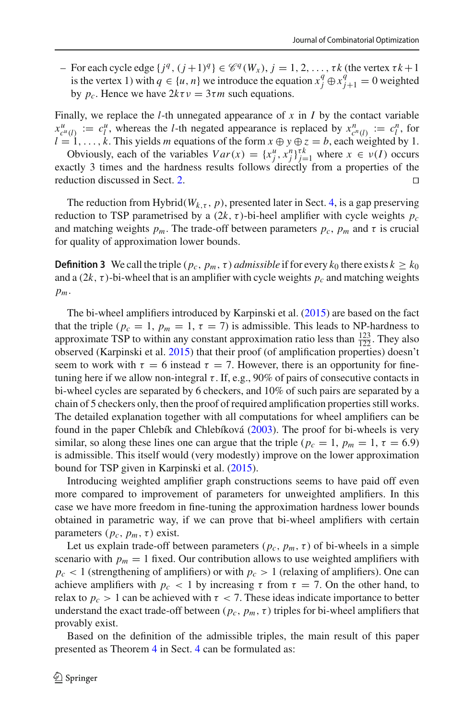$-$  For each cycle edge  $\{j^q, (j+1)^q\} \in \mathcal{C}^q(W_x)$ ,  $j = 1, 2, ..., \tau k$  (the vertex  $\tau k + 1$ ) is the vertex 1) with  $q \in \{u, n\}$  we introduce the equation  $x_j^q \oplus x_{j+1}^q = 0$  weighted by  $p_c$ . Hence we have  $2k\tau v = 3\tau m$  such equations.

Finally, we replace the *l*-th unnegated appearance of  $x$  in  $I$  by the contact variable  $x^u_{c^u(l)} := c^u_l$ , whereas the *l*-th negated appearance is replaced by  $x^n_{c^u(l)} := c^n_l$ , for  $l = 1, \ldots, k$ . This yields *m* equations of the form  $x \oplus y \oplus z = b$ , each weighted by 1.

Obviously, each of the variables  $Var(x) = \{x_j^u, x_j^n\}_{j=1}^{rk}$  where  $x \in v(I)$  occurs exactly 3 times and the hardness results follows directly from a properties of the reduction discussed in Sect. [2.](#page-4-1)

The reduction from Hybrid( $W_{k,\tau}$ , p), presented later in Sect. [4,](#page-8-0) is a gap preserving reduction to TSP parametrised by a  $(2k, \tau)$ -bi-heel amplifier with cycle weights  $p_c$ and matching weights  $p_m$ . The trade-off between parameters  $p_c$ ,  $p_m$  and  $\tau$  is crucial for quality of approximation lower bounds.

**Definition 3** We call the triple  $(p_c, p_m, \tau)$  *admissible* if for every  $k_0$  there exists  $k \geq k_0$ and a  $(2k, \tau)$ -bi-wheel that is an amplifier with cycle weights  $p_c$  and matching weights *pm*.

The bi-wheel amplifiers introduced by Karpinski et al[.](#page-22-13) [\(2015\)](#page-22-13) are based on the fact that the triple ( $p_c = 1$ ,  $p_m = 1$ ,  $\tau = 7$ ) is admissible. This leads to NP-hardness to approximate TSP to within any constant approximation ratio less than  $\frac{123}{122}$ . They also<br>observed (Karpinski et al. 2015) that their proof (of amplification properties) doesn't observed (Karpinski et al[.](#page-22-13) [2015\)](#page-22-13) that their proof (of amplification properties) doesn't seem to work with  $\tau = 6$  instead  $\tau = 7$ . However, there is an opportunity for finetuning here if we allow non-integral  $\tau$ . If, e.g., 90% of pairs of consecutive contacts in bi-wheel cycles are separated by 6 checkers, and 10% of such pairs are separated by a chain of 5 checkers only, then the proof of required amplification properties still works. The detailed explanation together with all computations for wheel amplifiers can be found in the paper Chlebík and Chlebíkov[á](#page-22-15) [\(2003](#page-22-15)). The proof for bi-wheels is very similar, so along these lines one can argue that the triple ( $p_c = 1$ ,  $p_m = 1$ ,  $\tau = 6.9$ ) is admissible. This itself would (very modestly) improve on the lower approximation bound for TSP given in Karpinski et al[.](#page-22-13) [\(2015\)](#page-22-13).

Introducing weighted amplifier graph constructions seems to have paid off even more compared to improvement of parameters for unweighted amplifiers. In this case we have more freedom in fine-tuning the approximation hardness lower bounds obtained in parametric way, if we can prove that bi-wheel amplifiers with certain parameters  $(p_c, p_m, \tau)$  exist.

Let us explain trade-off between parameters  $(p_c, p_m, \tau)$  of bi-wheels in a simple scenario with  $p_m = 1$  fixed. Our contribution allows to use weighted amplifiers with  $p_c$  < 1 (strengthening of amplifiers) or with  $p_c > 1$  (relaxing of amplifiers). One can achieve amplifiers with  $p_c < 1$  by increasing  $\tau$  from  $\tau = 7$ . On the other hand, to relax to  $p_c > 1$  can be achieved with  $\tau < 7$ . These ideas indicate importance to better understand the exact trade-off between ( $p_c$ ,  $p_m$ ,  $\tau$ ) triples for bi-wheel amplifiers that provably exist.

Based on the definition of the admissible triples, the main result of this paper presented as Theorem [4](#page-18-0) in Sect. [4](#page-8-0) can be formulated as: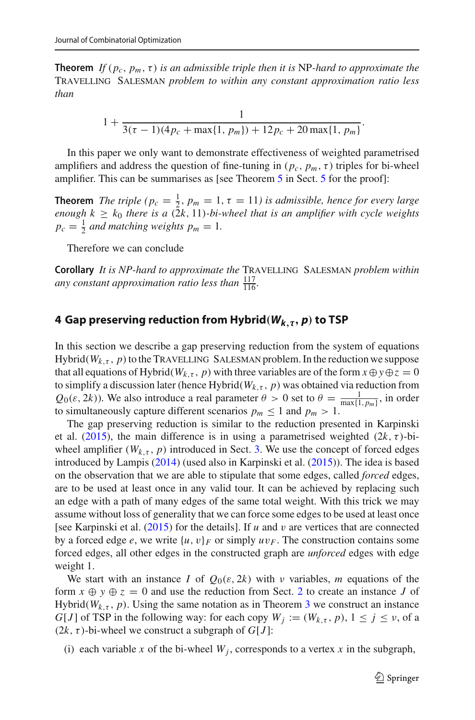**Theorem** *If* (*pc*, *pm*,τ) *is an admissible triple then it is* NP*-hard to approximate the* Travelling Salesman *problem to within any constant approximation ratio less than*

$$
1 + \frac{1}{3(\tau - 1)(4p_c + \max\{1, p_m\}) + 12p_c + 20\max\{1, p_m\}}.
$$

In this paper we only want to demonstrate effectiveness of weighted parametrised amplifiers and address the question of fine-tuning in  $(p_c, p_m, \tau)$  triples for bi-wheel amplifier. This can be summarises as [see Theorem [5](#page-19-1) in Sect. 5 for the proof]:

**Theorem** *The triple* ( $p_c = \frac{1}{2}$ ,  $p_m = 1$ ,  $\tau = 11$ ) is admissible, hence for every large *enough*  $k \geq k_0$  *there is a*  $(2k, 11)$ *-bi-wheel that is an amplifier with cycle weights*  $p_c = \frac{1}{2}$  *and matching weights*  $p_m = 1$ *.* 

Therefore we can conclude

**Corollary** *It is NP-hard to approximate the* Travelling Salesman *problem within* any constant approximation ratio less than  $\frac{117}{116}$ *.* 

# <span id="page-8-0"></span>**4 Gap preserving reduction from Hybrid***(Wk,-, p)* **to TSP**

In this section we describe a gap preserving reduction from the system of equations Hybrid( $W_{k,\tau}$ , p) to the TRAVELLING SALESMAN problem. In the reduction we suppose that all equations of Hybrid( $W_{k,\tau}$ , *p*) with three variables are of the form  $x \oplus y \oplus z = 0$ to simplify a discussion later (hence Hybrid( $W_{k,\tau}$ , p) was obtained via reduction from  $Q_0(\varepsilon, 2k)$ ). We also introduce a real parameter  $\theta > 0$  set to  $\theta = \frac{1}{\max\{1, p_m\}}$ , in order to simultaneously capture different scenarios  $p_m \leq 1$  and  $p_m > 1$ .

The gap preserving reduction is similar to the reduction presented in Karpinski et al[.](#page-22-13) [\(2015\)](#page-22-13), the main difference is in using a parametrised weighted  $(2k, \tau)$ -biwheel amplifier  $(W_{k,\tau}, p)$  introduced in Sect. [3.](#page-5-1) We use the concept of forced edges introduced by Lampi[s](#page-22-12) [\(2014](#page-22-12)) (used also in Karpinski et al[.](#page-22-13) [\(2015](#page-22-13))). The idea is based on the observation that we are able to stipulate that some edges, called *forced* edges, are to be used at least once in any valid tour. It can be achieved by replacing such an edge with a path of many edges of the same total weight. With this trick we may assume without loss of generality that we can force some edges to be used at least once [see Karpinski et al[.](#page-22-13) [\(2015](#page-22-13)) for the details]. If *u* and v are vertices that are connected by a forced edge *e*, we write  $\{u, v\}$ *F* or simply  $uv$ *F*. The construction contains some forced edges, all other edges in the constructed graph are *unforced* edges with edge weight 1.

We start with an instance *I* of  $Q_0(\varepsilon, 2k)$  with *v* variables, *m* equations of the form  $x \oplus y \oplus z = 0$  and use the reduction from Sect. [2](#page-4-1) to create an instance *J* of Hybrid( $W_{k,\tau}$ , p). Using the same notation as in Theorem [3](#page-6-0) we construct an instance *G*[*J*] of TSP in the following way: for each copy  $W_i := (W_{k,\tau}, p), 1 \leq j \leq \nu$ , of a  $(2k, \tau)$ -bi-wheel we construct a subgraph of *G*[*J*]:

(i) each variable x of the bi-wheel  $W_i$ , corresponds to a vertex x in the subgraph,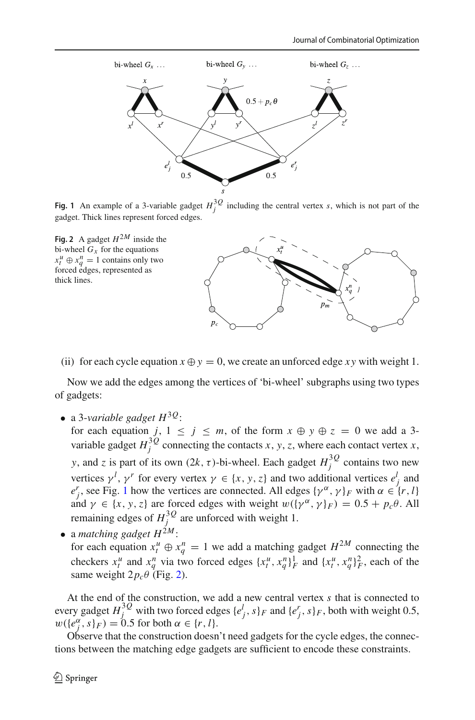

<span id="page-9-0"></span>**Fig. 1** An example of a 3-variable gadget  $H_j^{3Q}$  including the central vertex *s*, which is not part of the gadget. Thick lines represent forced edges.

<span id="page-9-1"></span>

(ii) for each cycle equation  $x \oplus y = 0$ , we create an unforced edge *xy* with weight 1.

Now we add the edges among the vertices of 'bi-wheel' subgraphs using two types of gadgets:

• a 3-*variable gadget H*3*Q*:

for each equation *j*,  $1 \le j \le m$ , of the form  $x \oplus y \oplus z = 0$  we add a 3variable gadget  $H_j^{3Q}$  connecting the contacts *x*, *y*, *z*, where each contact vertex *x*, *y*, and *z* is part of its own  $(2k, \tau)$ -bi-wheel. Each gadget  $H_j^{3Q}$  contains two new vertices  $\gamma^l$ ,  $\gamma^r$  for every vertex  $\gamma \in \{x, y, z\}$  and two additional vertices  $e^l_j$  and  $e^r_j$ , see Fig. [1](#page-9-0) how the vertices are connected. All edges  $\{\gamma^\alpha, \gamma\}_F$  with  $\alpha \in \{r, l\}$ and  $\gamma \in \{x, y, z\}$  are forced edges with weight  $w(\{\gamma^{\alpha}, \gamma\}_F) = 0.5 + p_c \theta$ . All remaining edges of  $H_j^{3Q}$  are unforced with weight 1.

• a *matching gadget*  $H^{\tilde{2}M}$ : for each equation  $x_t^u \oplus x_q^n = 1$  we add a matching gadget  $H^{2M}$  connecting the checkers  $x_t^u$  and  $x_q^n$  via two forced edges  $\{x_t^u, x_q^n\}_{F}^1$  and  $\{x_t^u, x_q^n\}_{F}^2$ , each of the same weight  $2p_c\theta$  (Fig. [2\)](#page-9-1).

At the end of the construction, we add a new central vertex *s* that is connected to every gadget  $H_j^{3Q}$  with two forced edges  $\{e_j^l, s\}_F$  and  $\{e_j^r, s\}_F$ , both with weight 0.5,  $w({e}_{j}^{\alpha}, s)_{F}$  = 0.5 for both  $\alpha \in \{r, l\}.$ 

Observe that the construction doesn't need gadgets for the cycle edges, the connections between the matching edge gadgets are sufficient to encode these constraints.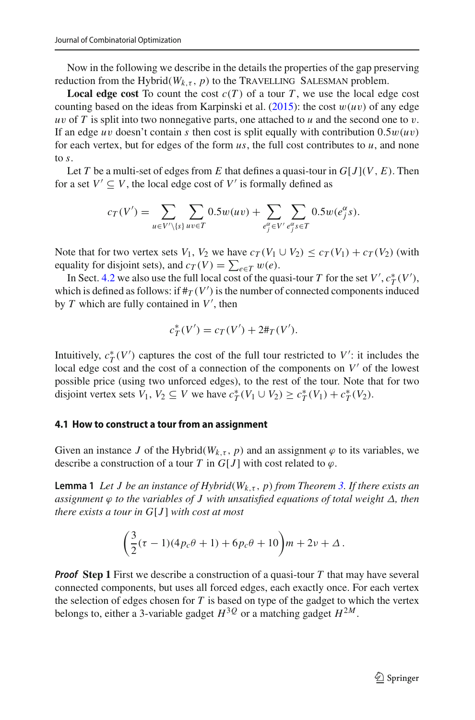Now in the following we describe in the details the properties of the gap preserving reduction from the Hybrid( $W_{k,\tau}$ , p) to the TRAVELLING SALESMAN problem.

**Local edge cost** To count the cost  $c(T)$  of a tour *T*, we use the local edge cost counting based on the ideas from Karpinski et al[.](#page-22-13)  $(2015)$ : the cost  $w(uv)$  of any edge  $uv$  of  $T$  is split into two nonnegative parts, one attached to  $u$  and the second one to  $v$ . If an edge *uv* doesn't contain *s* then cost is split equally with contribution  $0.5w(uv)$ for each vertex, but for edges of the form  $us$ , the full cost contributes to  $u$ , and none to *s*.

Let *T* be a multi-set of edges from *E* that defines a quasi-tour in  $G[J](V, E)$ . Then for a set  $V' \subseteq V$ , the local edge cost of V' is formally defined as

$$
c_T(V') = \sum_{u \in V'\backslash \{s\}} \sum_{uv \in T} 0.5w(uv) + \sum_{e_j^{\alpha} \in V'} \sum_{e_j^{\alpha} s \in T} 0.5w(e_j^{\alpha}s).
$$

Note that for two vertex sets *V*<sub>1</sub>, *V*<sub>2</sub> we have  $c_T$  (*V*<sub>1</sub>  $\cup$  *V*<sub>2</sub>)  $\leq$   $c_T$  (*V*<sub>1</sub>) +  $c_T$  (*V*<sub>2</sub>) (with equality for disjoint sets), and  $c_T(V) = \sum_{e \in T} w(e)$ .

In Sect. [4.2](#page-12-0) we also use the full local cost of the quasi-tour *T* for the set *V'*,  $c_T^*(V')$ , which is defined as follows: if  $\#_T(V')$  is the number of connected components induced by *T* which are fully contained in *V* , then

$$
c_T^*(V') = c_T(V') + 2\#_T(V').
$$

Intuitively,  $c_T^*(V')$  captures the cost of the full tour restricted to  $V'$ : it includes the local edge cost and the cost of a connection of the components on  $V'$  of the lowest possible price (using two unforced edges), to the rest of the tour. Note that for two disjoint vertex sets  $V_1, V_2 \subseteq V$  we have  $c^*_T(V_1 \cup V_2) \ge c^*_T(V_1) + c^*_T(V_2)$ .

#### **4.1 How to construct a tour from an assignment**

<span id="page-10-0"></span>Given an instance *J* of the Hybrid( $W_{k,\tau}$ , *p*) and an assignment  $\varphi$  to its variables, we describe a construction of a tour *T* in  $G[J]$  with cost related to  $\varphi$ .

**Lemma 1** *Let J be an instance of Hybrid*( $W_{k,\tau}$ , *p*) *from Theorem [3.](#page-6-0) If there exists an assignment* ϕ *to the variables of J with unsatisfied equations of total weight* Δ*, then there exists a tour in G*[*J* ] *with cost at most*

$$
\left(\frac{3}{2}(\tau-1)(4p_c\theta+1)+6p_c\theta+10\right)m+2\nu+\Delta.
$$

*Proof* **Step 1** First we describe a construction of a quasi-tour *T* that may have several connected components, but uses all forced edges, each exactly once. For each vertex the selection of edges chosen for *T* is based on type of the gadget to which the vertex belongs to, either a 3-variable gadget  $H^{3Q}$  or a matching gadget  $H^{2M}$ .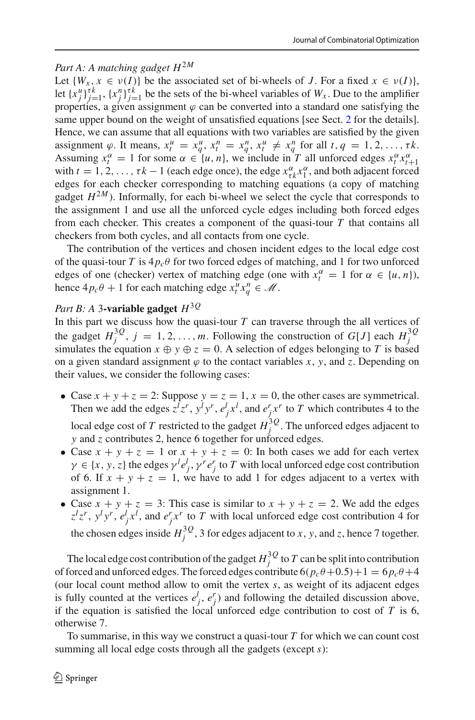# *Part A: A matching gadget H*2*<sup>M</sup>*

Let  $\{W_x, x \in \nu(I)\}\$  be the associated set of bi-wheels of *J*. For a fixed  $x \in \nu(I)\}\$ , let  $\{x_j^u\}_{j=1}^{\tau k}$ ,  $\{x_j^n\}_{j=1}^{\tau k}$  be the sets of the bi-wheel variables of  $W_x$ . Due to the amplifier properties, a given assignment  $\varphi$  can be converted into a standard one satisfying the same upper bound on the weight of unsatisfied equations [see Sect. [2](#page-4-1) for the details]. Hence, we can assume that all equations with two variables are satisfied by the given assignment  $\varphi$ . It means,  $x_t^u = x_q^u$ ,  $x_t^n = x_q^n$ ,  $x_t^u \neq x_q^n$  for all  $t, q = 1, 2, ..., \tau k$ . Assuming  $x_t^{\alpha} = 1$  for some  $\alpha \in \{u, n\}$ , we include in *T* all unforced edges  $x_t^{\alpha} x_t^{\alpha}$ with  $t = 1, 2, ..., \tau k - 1$  (each edge once), the edge  $x_{\tau k}^{\alpha} x_1^{\alpha}$ , and both adjacent forced with  $t = 1, 2, ..., \tau k - 1$  (each edge once), the edge  $x_{\tau k}^{\alpha} x_1^{\alpha}$ , and both adjacent forced edges for each checker corresponding to matching equations (a copy of matching gadget  $H^{2M}$ ). Informally, for each bi-wheel we select the cycle that corresponds to the assignment 1 and use all the unforced cycle edges including both forced edges from each checker. This creates a component of the quasi-tour *T* that contains all checkers from both cycles, and all contacts from one cycle.

The contribution of the vertices and chosen incident edges to the local edge cost of the quasi-tour *T* is  $4p_c\theta$  for two forced edges of matching, and 1 for two unforced edges of one (checker) vertex of matching edge (one with  $x_t^{\alpha} = 1$  for  $\alpha \in \{u, n\}$ ), hence  $4p_c\theta + 1$  for each matching edge  $x_t^u x_q^n \in \mathcal{M}$ .

# *Part B: A* 3**-variable gadget** *H*3*<sup>Q</sup>*

In this part we discuss how the quasi-tour  $T$  can traverse through the all vertices of the gadget  $H_j^{3Q}$ ,  $j = 1, 2, ..., m$ . Following the construction of *G*[*J*] each  $H_j^{3Q}$ simulates the equation  $x \oplus y \oplus z = 0$ . A selection of edges belonging to *T* is based on a given standard assignment  $\varphi$  to the contact variables *x*, *y*, and *z*. Depending on their values, we consider the following cases:

- Case  $x + y + z = 2$ : Suppose  $y = z = 1$ ,  $x = 0$ , the other cases are symmetrical. Then we add the edges  $z^l z^r$ ,  $y^l y^r$ ,  $e^l_j x^l$ , and  $e^r_j x^r$  to *T* which contributes 4 to the local edge cost of *T* restricted to the gadget  $H_j^{3Q}$ . The unforced edges adjacent to *y* and *z* contributes 2, hence 6 together for unforced edges.
- Case  $x + y + z = 1$  or  $x + y + z = 0$ : In both cases we add for each vertex  $\gamma \in \{x, y, z\}$  the edges  $\gamma^{l} e_j^{l}$ ,  $\gamma^{r} e_j^{r}$  to *T* with local unforced edge cost contribution of 6. If  $x + y + z = 1$ , we have to add 1 for edges adjacent to a vertex with assignment 1.
- Case  $x + y + z = 3$ : This case is similar to  $x + y + z = 2$ . We add the edges  $z^l z^r$ ,  $y^l y^r$ ,  $e^l_j x^l$ , and  $e^r_j x^r$  to *T* with local unforced edge cost contribution 4 for the chosen edges inside  $H_j^{3Q}$ , 3 for edges adjacent to *x*, *y*, and *z*, hence 7 together.

The local edge cost contribution of the gadget  $H_j^{3Q}$  to  $T$  can be split into contribution of forced and unforced edges. The forced edges contribute  $6(p_c\theta+0.5)+1=6p_c\theta+4$ (our local count method allow to omit the vertex *s*, as weight of its adjacent edges is fully counted at the vertices  $e_j^l$ ,  $e_j^r$ ) and following the detailed discussion above, if the equation is satisfied the local unforced edge contribution to cost of  $T$  is 6, otherwise 7.

To summarise, in this way we construct a quasi-tour *T* for which we can count cost summing all local edge costs through all the gadgets (except *s*):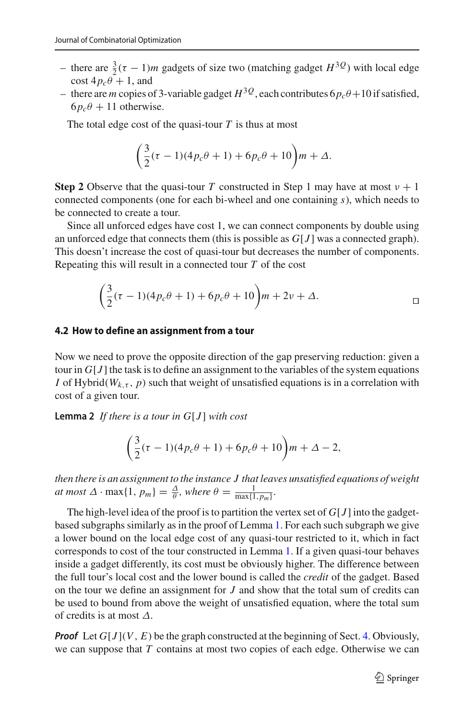- there are  $\frac{3}{2}$ (τ − 1)*m* gadgets of size two (matching gadget *H*<sup>3*Q*</sup>) with local edge  $\cos\left(4p_c\theta + 1\right)$ , and
- there are *m* copies of 3-variable gadget  $H^{3Q}$ , each contributes  $6p_c\theta + 10$  if satisfied,  $6p_c\theta + 11$  otherwise.

The total edge cost of the quasi-tour  $T$  is thus at most

$$
\left(\frac{3}{2}(\tau-1)(4p_c\theta+1)+6p_c\theta+10\right)m+\Delta.
$$

**Step 2** Observe that the quasi-tour *T* constructed in Step 1 may have at most  $v + 1$ connected components (one for each bi-wheel and one containing *s*), which needs to be connected to create a tour.

Since all unforced edges have cost 1, we can connect components by double using an unforced edge that connects them (this is possible as *G*[*J* ] was a connected graph). This doesn't increase the cost of quasi-tour but decreases the number of components. Repeating this will result in a connected tour *T* of the cost

$$
\left(\frac{3}{2}(\tau-1)(4p_c\theta+1)+6p_c\theta+10\right)m+2\nu+\Delta.
$$

#### <span id="page-12-0"></span>**4.2 How to define an assignment from a tour**

Now we need to prove the opposite direction of the gap preserving reduction: given a tour in  $G[J]$  the task is to define an assignment to the variables of the system equations *I* of Hybrid( $W_{k,\tau}$ ,  $p$ ) such that weight of unsatisfied equations is in a correlation with cost of a given tour.

<span id="page-12-1"></span>**Lemma 2** If there is a tour in  $G[J]$  with cost

$$
\left(\frac{3}{2}(\tau-1)(4p_c\theta+1)+6p_c\theta+10\right)m+\Delta-2,
$$

*then there is an assignment to the instance J that leaves unsatisfied equations of weight at most*  $\Delta \cdot \max\{1, p_m\} = \frac{\Delta}{\theta}$ *, where*  $\theta = \frac{1}{\max\{1, p_m\}}$ *.* 

The high-level idea of the proof is to partition the vertex set of  $G[J]$  into the gadgetbased subgraphs similarly as in the proof of Lemma [1.](#page-10-0) For each such subgraph we give a lower bound on the local edge cost of any quasi-tour restricted to it, which in fact corresponds to cost of the tour constructed in Lemma [1.](#page-10-0) If a given quasi-tour behaves inside a gadget differently, its cost must be obviously higher. The difference between the full tour's local cost and the lower bound is called the *credit* of the gadget. Based on the tour we define an assignment for *J* and show that the total sum of credits can be used to bound from above the weight of unsatisfied equation, where the total sum of credits is at most  $\Delta$ .

*Proof* Let  $G[J](V, E)$  be the graph constructed at the beginning of Sect. [4.](#page-8-0) Obviously, we can suppose that *T* contains at most two copies of each edge. Otherwise we can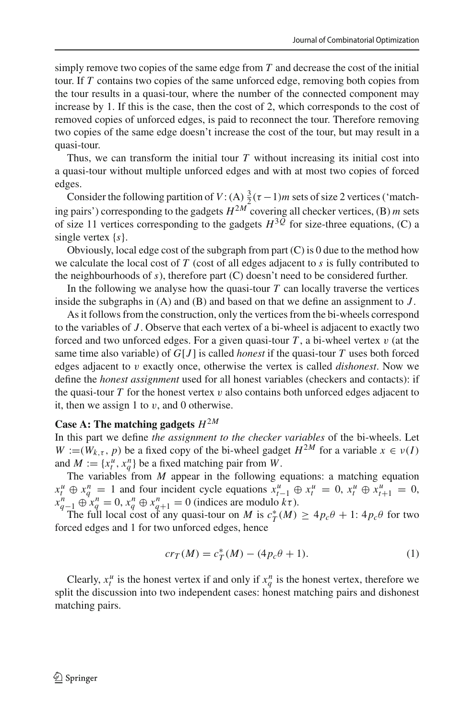simply remove two copies of the same edge from *T* and decrease the cost of the initial tour. If *T* contains two copies of the same unforced edge, removing both copies from the tour results in a quasi-tour, where the number of the connected component may increase by 1. If this is the case, then the cost of 2, which corresponds to the cost of removed copies of unforced edges, is paid to reconnect the tour. Therefore removing two copies of the same edge doesn't increase the cost of the tour, but may result in a quasi-tour.

Thus, we can transform the initial tour *T* without increasing its initial cost into a quasi-tour without multiple unforced edges and with at most two copies of forced edges.

Consider the following partition of  $V: (A) \frac{3}{2}(\tau-1)m$  sets of size 2 vertices ('matching pairs') corresponding to the gadgets  $H^{2M}$  covering all checker vertices, (B) *m* sets of size 11 vertices corresponding to the gadgets  $H^{3\overline{Q}}$  for size-three equations, (C) a single vertex {*s*}.

Obviously, local edge cost of the subgraph from part  $(C)$  is 0 due to the method how we calculate the local cost of *T* (cost of all edges adjacent to *s* is fully contributed to the neighbourhoods of *s*), therefore part (C) doesn't need to be considered further.

In the following we analyse how the quasi-tour  $T$  can locally traverse the vertices inside the subgraphs in (A) and (B) and based on that we define an assignment to *J* .

As it follows from the construction, only the vertices from the bi-wheels correspond to the variables of *J* . Observe that each vertex of a bi-wheel is adjacent to exactly two forced and two unforced edges. For a given quasi-tour  $T$ , a bi-wheel vertex  $v$  (at the same time also variable) of *G*[*J* ] is called *honest* if the quasi-tour *T* uses both forced edges adjacent to v exactly once, otherwise the vertex is called *dishonest*. Now we define the *honest assignment* used for all honest variables (checkers and contacts): if the quasi-tour  $T$  for the honest vertex  $v$  also contains both unforced edges adjacent to it, then we assign 1 to  $v$ , and 0 otherwise.

### **Case A: The matching gadgets**  $H^{2M}$

In this part we define *the assignment to the checker variables* of the bi-wheels. Let  $W := (W_{k,\tau}, p)$  be a fixed copy of the bi-wheel gadget  $H^{2M}$  for a variable  $x \in v(I)$ and  $M := \{x_t^u, x_q^n\}$  be a fixed matching pair from *W*.

The variables from *M* appear in the following equations: a matching equation  $x_t^u \oplus x_q^n = 1$  and four incident cycle equations  $x_{t-1}^u \oplus x_t^u = 0$ ,  $x_t^u \oplus x_{t+1}^u = 0$ ,  $x_q^n \oplus x_q^n = 0$ ,  $x_q^n \oplus x_{q+1}^n = 0$  (indices are modulo  $k\tau$ ).

The full local cost of any quasi-tour on *M* is  $c^*_T(M) \geq 4p_c\theta + 1$ :  $4p_c\theta$  for two forced edges and 1 for two unforced edges, hence

<span id="page-13-0"></span>
$$
cr_T(M) = c_T^*(M) - (4p_c\theta + 1). \tag{1}
$$

Clearly,  $x_t^u$  is the honest vertex if and only if  $x_q^n$  is the honest vertex, therefore we split the discussion into two independent cases: honest matching pairs and dishonest matching pairs.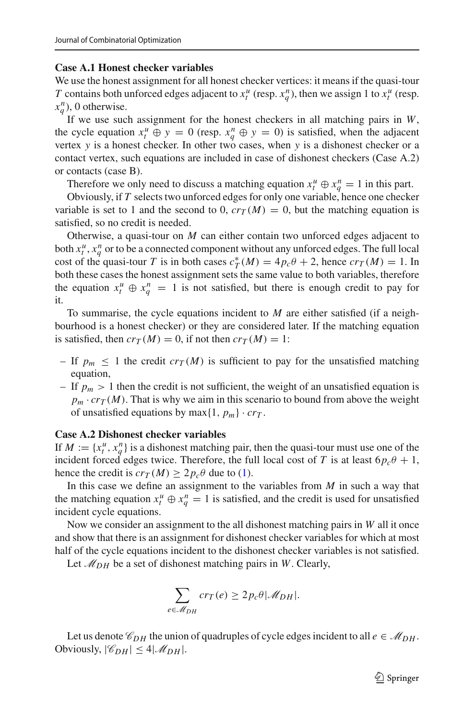#### **Case A.1 Honest checker variables**

We use the honest assignment for all honest checker vertices: it means if the quasi-tour *T* contains both unforced edges adjacent to  $x_t^u$  (resp.  $x_q^n$ ), then we assign 1 to  $x_t^u$  (resp.  $x_q^n$ ), 0 otherwise.

If we use such assignment for the honest checkers in all matching pairs in *W*, the cycle equation  $x_t^u \oplus y = 0$  (resp.  $x_q^n \oplus y = 0$ ) is satisfied, when the adjacent vertex *y* is a honest checker. In other two cases, when *y* is a dishonest checker or a contact vertex, such equations are included in case of dishonest checkers (Case A.2) or contacts (case B).

Therefore we only need to discuss a matching equation  $x_t^u \oplus x_q^n = 1$  in this part.

Obviously, if *T* selects two unforced edges for only one variable, hence one checker variable is set to 1 and the second to 0,  $cr_T(M) = 0$ , but the matching equation is satisfied, so no credit is needed.

Otherwise, a quasi-tour on *M* can either contain two unforced edges adjacent to both  $x_t^u$ ,  $x_q^n$  or to be a connected component without any unforced edges. The full local cost of the quasi-tour *T* is in both cases  $c_T^*(M) = 4p_c\theta + 2$ , hence  $cr_T(M) = 1$ . In both these cases the honest assignment sets the same value to both variables, therefore the equation  $x_t^u \oplus x_q^n = 1$  is not satisfied, but there is enough credit to pay for it.

To summarise, the cycle equations incident to *M* are either satisfied (if a neighbourhood is a honest checker) or they are considered later. If the matching equation is satisfied, then  $cr_T(M) = 0$ , if not then  $cr_T(M) = 1$ :

- If  $p_m \leq 1$  the credit  $cr_T(M)$  is sufficient to pay for the unsatisfied matching equation,
- If  $p_m > 1$  then the credit is not sufficient, the weight of an unsatisfied equation is  $p_m \cdot cr_T(M)$ . That is why we aim in this scenario to bound from above the weight of unsatisfied equations by max $\{1, p_m\} \cdot cr_T$ .

#### **Case A.2 Dishonest checker variables**

If  $M := \{x_t^u, x_q^n\}$  is a dishonest matching pair, then the quasi-tour must use one of the incident forced edges twice. Therefore, the full local cost of *T* is at least  $6p_c\theta + 1$ , hence the credit is  $cr_T(M) \geq 2p_c\theta$  due to [\(1\)](#page-13-0).

In this case we define an assignment to the variables from *M* in such a way that the matching equation  $x_t^u \oplus x_q^n = 1$  is satisfied, and the credit is used for unsatisfied incident cycle equations.

Now we consider an assignment to the all dishonest matching pairs in *W* all it once and show that there is an assignment for dishonest checker variables for which at most half of the cycle equations incident to the dishonest checker variables is not satisfied.

Let  $\mathcal{M}_{DH}$  be a set of dishonest matching pairs in *W*. Clearly,

$$
\sum_{e \in \mathcal{M}_{DH}} cr_T(e) \ge 2p_c \theta |\mathcal{M}_{DH}|.
$$

Let us denote  $\mathcal{C}_{DH}$  the union of quadruples of cycle edges incident to all  $e \in \mathcal{M}_{DH}$ . Obviously,  $|\mathcal{C}_{DH}| \leq 4|\mathcal{M}_{DH}|$ .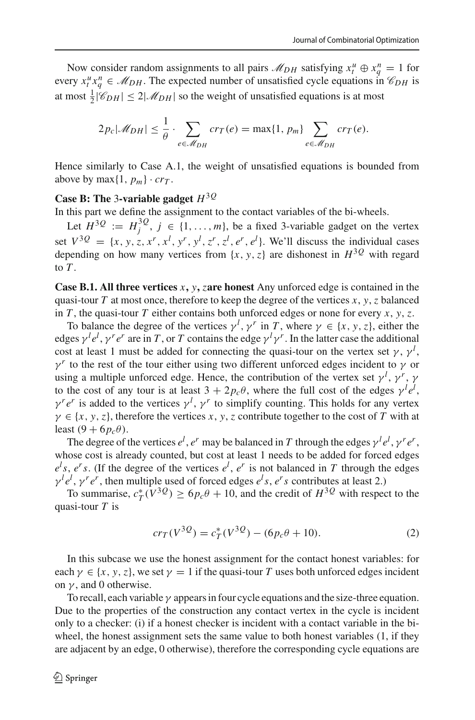Now consider random assignments to all pairs  $\mathcal{M}_{DH}$  satisfying  $x_t^u \oplus x_q^n = 1$  for every  $x_t^u x_q^n \in M_{DH}$ . The expected number of unsatisfied cycle equations in  $\mathcal{C}_{DH}$  is at most  $\frac{1}{2} |\mathcal{C}_{DH}| \leq 2 |\mathcal{M}_{DH}|$  so the weight of unsatisfied equations is at most

$$
2p_c|\mathscr{M}_{DH}| \leq \frac{1}{\theta} \cdot \sum_{e \in \mathscr{M}_{DH}} cr_T(e) = \max\{1, p_m\} \sum_{e \in \mathscr{M}_{DH}} cr_T(e).
$$

Hence similarly to Case A.1, the weight of unsatisfied equations is bounded from above by max $\{1, p_m\} \cdot cr_T$ .

# **Case B: The** 3**-variable gadget** *H*3*<sup>Q</sup>*

In this part we define the assignment to the contact variables of the bi-wheels.

Let  $H^{3Q} := H_j^{3Q}$ ,  $j \in \{1, ..., m\}$ , be a fixed 3-variable gadget on the vertex set  $V^{3Q} = \{x, y, z, x^r, x^l, y^r, y^l, z^r, z^l, e^r, e^l\}$ . We'll discuss the individual cases depending on how many vertices from  $\{x, y, z\}$  are dishonest in  $H^{3Q}$  with regard to *T* .

**Case B.1. All three vertices** *x***,** *y***,** *z***are honest** Any unforced edge is contained in the quasi-tour  $T$  at most once, therefore to keep the degree of the vertices  $x, y, z$  balanced in *T*, the quasi-tour *T* either contains both unforced edges or none for every *x*, *y*, *z*.

To balance the degree of the vertices  $\gamma^l$ ,  $\gamma^r$  in *T*, where  $\gamma \in \{x, y, z\}$ , either the edges  $\gamma^l e^l$ ,  $\gamma^r e^r$  are in *T*, or *T* contains the edge  $\gamma^l \gamma^r$ . In the latter case the additional cost at least 1 must be added for connecting the quasi-tour on the vertex set  $\gamma$ ,  $\gamma^l$ ,  $\gamma^r$  to the rest of the tour either using two different unforced edges incident to  $\gamma$  or using a multiple unforced edge. Hence, the contribution of the vertex set  $\gamma^l$ ,  $\gamma^r$ ,  $\gamma$ to the cost of any tour is at least  $3 + 2p_c\theta$ , where the full cost of the edges  $\gamma^l e^l$ ,  $\gamma^r e^r$  is added to the vertices  $\gamma^l$ ,  $\gamma^r$  to simplify counting. This holds for any vertex  $\gamma \in \{x, y, z\}$ , therefore the vertices *x*, *y*, *z* contribute together to the cost of *T* with at least  $(9 + 6p_c\theta)$ .

The degree of the vertices  $e^l$ ,  $e^r$  may be balanced in *T* through the edges  $\gamma^l e^l$ ,  $\gamma^r e^r$ , whose cost is already counted, but cost at least 1 needs to be added for forced edges  $e^{l}s$ ,  $e^{r}s$ . (If the degree of the vertices  $e^{l}$ ,  $e^{r}$  is not balanced in *T* through the edges  $\gamma^{l} e^{l}$ ,  $\gamma^{r} e^{r}$ , then multiple used of forced edges  $e^{l}s$ ,  $e^{r}s$  contributes at least 2.)

To summarise,  $c^*_{T}(V^{3Q}) \ge 6p_c\theta + 10$ , and the credit of  $H^{3Q}$  with respect to the quasi-tour *T* is

<span id="page-15-0"></span>
$$
cr_T(V^{3Q}) = c_T^*(V^{3Q}) - (6p_c\theta + 10). \tag{2}
$$

In this subcase we use the honest assignment for the contact honest variables: for each  $\gamma \in \{x, y, z\}$ , we set  $\gamma = 1$  if the quasi-tour *T* uses both unforced edges incident on  $\gamma$ , and 0 otherwise.

To recall, each variable  $\gamma$  appears in four cycle equations and the size-three equation. Due to the properties of the construction any contact vertex in the cycle is incident only to a checker: (i) if a honest checker is incident with a contact variable in the biwheel, the honest assignment sets the same value to both honest variables (1, if they are adjacent by an edge, 0 otherwise), therefore the corresponding cycle equations are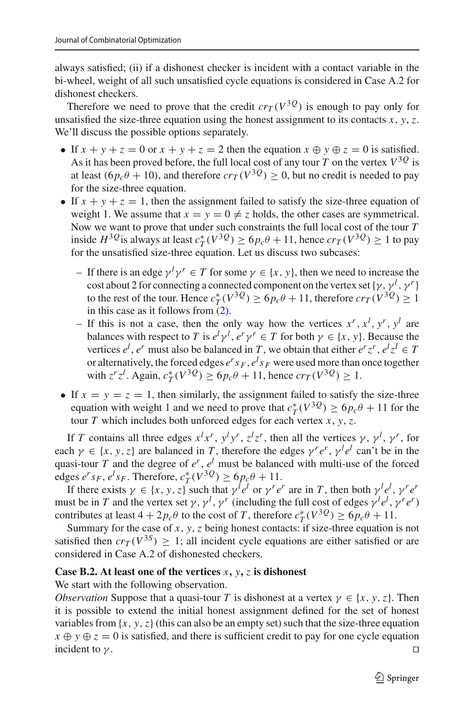always satisfied; (ii) if a dishonest checker is incident with a contact variable in the bi-wheel, weight of all such unsatisfied cycle equations is considered in Case A.2 for dishonest checkers.

Therefore we need to prove that the credit  $cr_T(V^{3}Q)$  is enough to pay only for unsatisfied the size-three equation using the honest assignment to its contacts *x*, *y*, *z*. We'll discuss the possible options separately.

- If  $x + y + z = 0$  or  $x + y + z = 2$  then the equation  $x \oplus y \oplus z = 0$  is satisfied. As it has been proved before, the full local cost of any tour  $T$  on the vertex  $V^{3Q}$  is at least  $(6p_c\theta + 10)$ , and therefore  $cr_T(V^{3}Q) > 0$ , but no credit is needed to pay for the size-three equation.
- If  $x + y + z = 1$ , then the assignment failed to satisfy the size-three equation of weight 1. We assume that  $x = y = 0 \neq z$  holds, the other cases are symmetrical. Now we want to prove that under such constraints the full local cost of the tour *T* inside *H*<sup>3*Q*</sup> is always at least  $c_T^*(V^{3Q}) \ge 6p_c\theta + 11$ , hence  $cr_T(V^{3Q}) \ge 1$  to pay for the unsatisfied size-three equation. Let us discuss two subcases:
	- *−* If there is an edge  $γ<sup>l</sup>γ<sup>r</sup> ∈ T$  for some  $γ ∈ {x, y}$ , then we need to increase the cost about 2 for connecting a connected component on the vertex set  $\{\gamma, \gamma^l, \gamma^r\}$ to the rest of the tour. Hence  $c_T^*(V^{3Q}) \ge 6p_c\theta + 11$ , therefore  $cr_T(V^{3Q}) \ge 1$ in this case as it follows from  $(2)$ .
	- $-$  If this is not a case, then the only way how the vertices  $x^r$ ,  $x^l$ ,  $y^r$ ,  $y^l$  are balances with respect to *T* is  $e^l \gamma^l$ ,  $e^r \gamma^r \in T$  for both  $\gamma \in \{x, y\}$ . Because the vertices  $e^l$ ,  $e^r$  must also be balanced in *T*, we obtain that either  $e^r z^r$ ,  $e^l z^l \in T$ or alternatively, the forced edges  $e^r s_F$ ,  $e^l s_F$  were used more than once together with  $z^r z^l$ . Again,  $c^*_{T}(V^{3Q}) \ge 6p_c\theta + 11$ , hence  $cr_T(V^{3Q}) \ge 1$ .
- If  $x = y = z = 1$ , then similarly, the assignment failed to satisfy the size-three equation with weight 1 and we need to prove that  $c_T^*(V^{3Q}) \ge 6p_c\theta + 11$  for the tour *T* which includes both unforced edges for each vertex *x*, *y*, *z*.

If *T* contains all three edges  $x^l x^r$ ,  $y^l y^r$ ,  $z^l z^r$ , then all the vertices  $\gamma$ ,  $\gamma^l$ ,  $\gamma^r$ , for each  $\gamma \in \{x, y, z\}$  are balanced in *T*, therefore the edges  $\gamma^r e^r$ ,  $\gamma^l e^l$  can't be in the quasi-tour *T* and the degree of  $e^r$ ,  $e^l$  must be balanced with multi-use of the forced edges  $e^r s_F$ ,  $e^l s_F$ . Therefore,  $c^*_T(V^{3Q}) \ge 6p_c\theta + 11$ .

If there exists  $\gamma \in \{x, y, z\}$  such that  $\gamma^{l} e^{l}$  or  $\gamma^{r} e^{r}$  are in *T*, then both  $\gamma^{l} e^{l}$ ,  $\gamma^{r} e^{r}$ must be in *T* and the vertex set  $\gamma$ ,  $\gamma^l$ ,  $\gamma^r$  (including the full cost of edges  $\gamma^l e^l$ ,  $\gamma^r e^r$ ) contributes at least  $4 + 2p_c \theta$  to the cost of *T*, therefore  $c^*_{T}(V^{3Q}) \ge 6p_c \theta + 11$ .

Summary for the case of *x*, *y*, *z* being honest contacts: if size-three equation is not satisfied then  $cr_T(V^{3S}) \geq 1$ ; all incident cycle equations are either satisfied or are considered in Case A.2 of dishonested checkers.

### **Case B.2. At least one of the vertices** *x***,** *y***,** *z* **is dishonest**

We start with the following observation.

*Observation* Suppose that a quasi-tour *T* is dishonest at a vertex  $\gamma \in \{x, y, z\}$ . Then it is possible to extend the initial honest assignment defined for the set of honest variables from  $\{x, y, z\}$  (this can also be an empty set) such that the size-three equation  $x \oplus y \oplus z = 0$  is satisfied, and there is sufficient credit to pay for one cycle equation incident to  $\gamma$ .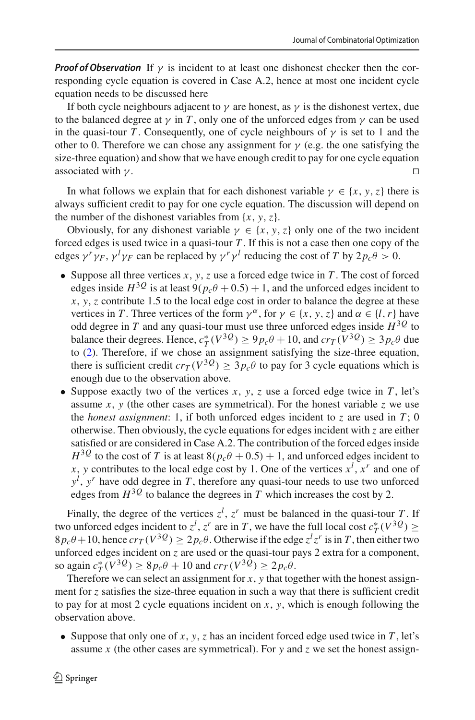*Proof of Observation* If  $\gamma$  is incident to at least one dishonest checker then the corresponding cycle equation is covered in Case A.2, hence at most one incident cycle equation needs to be discussed here

If both cycle neighbours adjacent to  $\gamma$  are honest, as  $\gamma$  is the dishonest vertex, due to the balanced degree at  $\gamma$  in *T*, only one of the unforced edges from  $\gamma$  can be used in the quasi-tour *T*. Consequently, one of cycle neighbours of  $\gamma$  is set to 1 and the other to 0. Therefore we can chose any assignment for  $\gamma$  (e.g. the one satisfying the size-three equation) and show that we have enough credit to pay for one cycle equation associated with  $\gamma$ .

In what follows we explain that for each dishonest variable  $\gamma \in \{x, y, z\}$  there is always sufficient credit to pay for one cycle equation. The discussion will depend on the number of the dishonest variables from  $\{x, y, z\}$ .

Obviously, for any dishonest variable  $\gamma \in \{x, y, z\}$  only one of the two incident forced edges is used twice in a quasi-tour *T* . If this is not a case then one copy of the edges  $\gamma^r \gamma_F$ ,  $\gamma^l \gamma_F$  can be replaced by  $\gamma^r \gamma^l$  reducing the cost of *T* by  $2p_c \theta > 0$ .

- Suppose all three vertices  $x, y, z$  use a forced edge twice in  $T$ . The cost of forced edges inside  $H^{3Q}$  is at least  $9(p_c\theta + 0.5) + 1$ , and the unforced edges incident to *x*, *y*, *z* contribute 1.5 to the local edge cost in order to balance the degree at these vertices in *T*. Three vertices of the form  $\gamma^{\alpha}$ , for  $\gamma \in \{x, y, z\}$  and  $\alpha \in \{l, r\}$  have odd degree in *T* and any quasi-tour must use three unforced edges inside  $H^{3Q}$  to balance their degrees. Hence,  $c_T^*(V^{3Q}) \ge 9p_c\theta + 10$ , and  $cr_T(V^{3Q}) \ge 3p_c\theta$  due to [\(2\)](#page-15-0). Therefore, if we chose an assignment satisfying the size-three equation, there is sufficient credit  $cr_T(V^{3}Q) > 3p_c\theta$  to pay for 3 cycle equations which is enough due to the observation above.
- Suppose exactly two of the vertices  $x$ ,  $y$ ,  $z$  use a forced edge twice in  $T$ , let's assume  $x$ ,  $y$  (the other cases are symmetrical). For the honest variable  $z$  we use the *honest assignment*: 1, if both unforced edges incident to  $\zeta$  are used in  $T$ ; 0 otherwise. Then obviously, the cycle equations for edges incident with *z* are either satisfied or are considered in Case A.2. The contribution of the forced edges inside  $H^{3Q}$  to the cost of *T* is at least  $8(p_c\theta + 0.5) + 1$ , and unforced edges incident to *x*, *y* contributes to the local edge cost by 1. One of the vertices  $x^l$ ,  $x^r$  and one of *yl* , *y<sup>r</sup>* have odd degree in *T* , therefore any quasi-tour needs to use two unforced edges from  $H^{3Q}$  to balance the degrees in *T* which increases the cost by 2.

Finally, the degree of the vertices  $z^l$ ,  $z^r$  must be balanced in the quasi-tour *T*. If two unforced edges incident to  $z^l$ ,  $z^r$  are in *T*, we have the full local cost  $c^*_T(V^{3Q}) \ge$  $8p_c\theta + 10$ , hence  $cr_T(V^{3Q}) \ge 2p_c\theta$ . Otherwise if the edge  $z^l z^r$  is in *T*, then either two unforced edges incident on *z* are used or the quasi-tour pays 2 extra for a component, so again  $c^*_T(V^{3Q}) \ge 8p_c\theta + 10$  and  $cr_T(V^{3Q}) \ge 2p_c\theta$ .

Therefore we can select an assignment for  $x$ ,  $y$  that together with the honest assignment for *z* satisfies the size-three equation in such a way that there is sufficient credit to pay for at most 2 cycle equations incident on *x*, *y*, which is enough following the observation above.

• Suppose that only one of  $x$ ,  $y$ ,  $z$  has an incident forced edge used twice in  $T$ , let's assume *x* (the other cases are symmetrical). For *y* and *z* we set the honest assign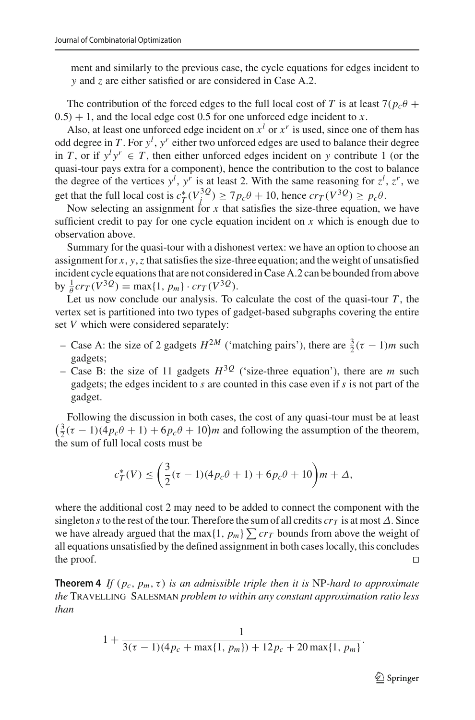ment and similarly to the previous case, the cycle equations for edges incident to *y* and *z* are either satisfied or are considered in Case A.2.

The contribution of the forced edges to the full local cost of *T* is at least  $7(p_c \theta +$  $(0.5) + 1$ , and the local edge cost 0.5 for one unforced edge incident to *x*.

Also, at least one unforced edge incident on  $x^l$  or  $x^r$  is used, since one of them has odd degree in *T* . For *y<sup>l</sup>* , *y<sup>r</sup>* either two unforced edges are used to balance their degree in *T*, or if  $y^l y^r \in T$ , then either unforced edges incident on *y* contribute 1 (or the quasi-tour pays extra for a component), hence the contribution to the cost to balance the degree of the vertices  $y^l$ ,  $y^r$  is at least 2. With the same reasoning for  $z^l$ ,  $z^r$ , we get that the full local cost is  $c^*_T(V_j^{3Q}) \ge 7p_c\theta + 10$ , hence  $cr_T(V^{3Q}) \ge p_c\theta$ .

Now selecting an assignment for  $x$  that satisfies the size-three equation, we have sufficient credit to pay for one cycle equation incident on  $x$  which is enough due to observation above.

Summary for the quasi-tour with a dishonest vertex: we have an option to choose an assignment for *x*, *y*,*z* that satisfies the size-three equation; and the weight of unsatisfied incident cycle equations that are not considered in Case A.2 can be bounded from above  $\frac{1}{\theta} c r_T (V^{3} Q) = \max\{1, p_m\} \cdot c r_T (V^{3} Q).$ 

Let us now conclude our analysis. To calculate the cost of the quasi-tour  $T$ , the vertex set is partitioned into two types of gadget-based subgraphs covering the entire set *V* which were considered separately:

- $-$  Case A: the size of 2 gadgets *H*<sup>2*M*</sup> ('matching pairs'), there are  $\frac{3}{2}$ (τ − 1)*m* such gadgets;
- Case B: the size of 11 gadgets  $H^{3Q}$  ('size-three equation'), there are *m* such gadgets; the edges incident to *s* are counted in this case even if *s* is not part of the gadget.

Following the discussion in both cases, the cost of any quasi-tour must be at least  $(\frac{3}{2}(\tau - 1)(4p_c\theta + 1) + 6p_c\theta + 10)m$  and following the assumption of the theorem, the sum of full local costs must be

$$
c_T^*(V) \le \left(\frac{3}{2}(\tau - 1)(4p_c\theta + 1) + 6p_c\theta + 10\right)m + \Delta,
$$

where the additional cost 2 may need to be added to connect the component with the singleton *s* to the rest of the tour. Therefore the sum of all credits  $cr_T$  is at most  $\Delta$ . Since we have already argued that the max $\{1, p_m\} \sum c r_T$  bounds from above the weight of all equations unsatisfied by the defined assignment in both cases locally, this concludes the proof.  $\Box$ 

<span id="page-18-0"></span>**Theorem 4** *If* ( $p_c$ ,  $p_m$ ,  $\tau$ ) *is an admissible triple then it is* NP-*hard to approximate the* Travelling Salesman *problem to within any constant approximation ratio less than*

$$
1 + \frac{1}{3(\tau - 1)(4p_c + \max\{1, p_m\}) + 12p_c + 20\max\{1, p_m\}}.
$$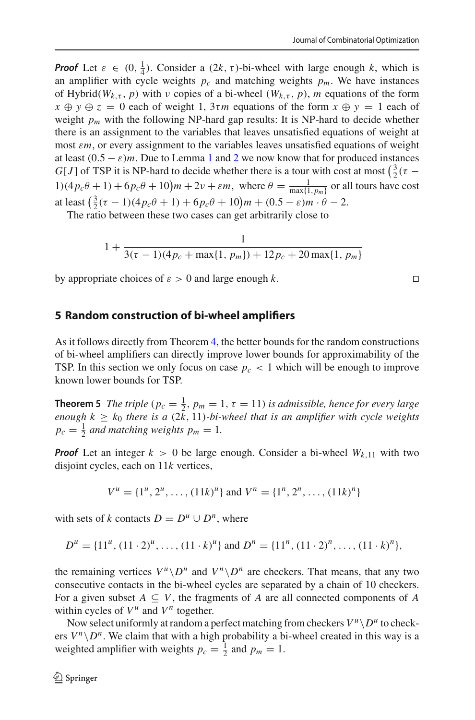*Proof* Let  $\varepsilon \in (0, \frac{1}{4})$ . Consider a  $(2k, \tau)$ -bi-wheel with large enough k, which is an amplifier with cycle weights  $p_c$  and matching weights  $p_m$ . We have instances of Hybrid( $W_{k,\tau}$ , *p*) with *v* copies of a bi-wheel ( $W_{k,\tau}$ , *p*), *m* equations of the form  $x \oplus y \oplus z = 0$  each of weight 1,  $3\tau m$  equations of the form  $x \oplus y = 1$  each of weight  $p_m$  with the following NP-hard gap results: It is NP-hard to decide whether there is an assignment to the variables that leaves unsatisfied equations of weight at most ε*m*, or every assignment to the variables leaves unsatisfied equations of weight at least  $(0.5 - \varepsilon)m$ . Due to Lemma [1](#page-10-0) and [2](#page-12-1) we now know that for produced instances *G*[*J*] of TSP it is NP-hard to decide whether there is a tour with cost at most  $(\frac{3}{2}(\tau 1(4p_c\theta + 1) + 6p_c\theta + 10\}m + 2\nu + \varepsilon m$ , where  $\theta = \frac{1}{\max\{1, p_m\}}$  or all tours have cost at least  $(\frac{3}{2}(\tau - 1)(4p_c\theta + 1) + 6p_c\theta + 10)m + (0.5 - \varepsilon)m \cdot \theta - 2$ .

The ratio between these two cases can get arbitrarily close to

$$
1 + \frac{1}{3(\tau - 1)(4p_c + \max\{1, p_m\}) + 12p_c + 20\max\{1, p_m\}}
$$

by appropriate choices of  $\varepsilon > 0$  and large enough k.

# <span id="page-19-1"></span>**5 Random construction of bi-wheel amplifiers**

As it follows directly from Theorem [4,](#page-18-0) the better bounds for the random constructions of bi-wheel amplifiers can directly improve lower bounds for approximability of the TSP. In this section we only focus on case  $p_c < 1$  which will be enough to improve known lower bounds for TSP.

<span id="page-19-0"></span>**Theorem 5** *The triple* ( $p_c = \frac{1}{2}$ ,  $p_m = 1$ ,  $\tau = 11$ ) *is admissible, hence for every large enough*  $k \geq k_0$  *there is a*  $(2\bar{k}, 11)$ *-bi-wheel that is an amplifier with cycle weights*  $p_c = \frac{1}{2}$  *and matching weights*  $p_m = 1$ *.* 

*Proof* Let an integer  $k > 0$  be large enough. Consider a bi-wheel  $W_{k,11}$  with two disjoint cycles, each on 11*k* vertices,

$$
V^{u} = \{1^{u}, 2^{u}, \dots, (11k)^{u}\} \text{ and } V^{n} = \{1^{n}, 2^{n}, \dots, (11k)^{n}\}
$$

with sets of *k* contacts  $D = D^u \cup D^n$ , where

$$
D^{u} = \{11^{u}, (11 \cdot 2)^{u}, \dots, (11 \cdot k)^{u}\} \text{ and } D^{n} = \{11^{n}, (11 \cdot 2)^{n}, \dots, (11 \cdot k)^{n}\},
$$

the remaining vertices  $V^{\mu} \backslash D^{\mu}$  and  $V^{\mu} \backslash D^{\mu}$  are checkers. That means, that any two consecutive contacts in the bi-wheel cycles are separated by a chain of 10 checkers. For a given subset  $A \subseteq V$ , the fragments of *A* are all connected components of *A* within cycles of  $V^u$  and  $V^n$  together.

Now select uniformly at random a perfect matching from checkers  $V^u\backslash D^u$  to checkers  $V^n \setminus D^n$ . We claim that with a high probability a bi-wheel created in this way is a weighted amplifier with weights  $p_c = \frac{1}{2}$  and  $p_m = 1$ .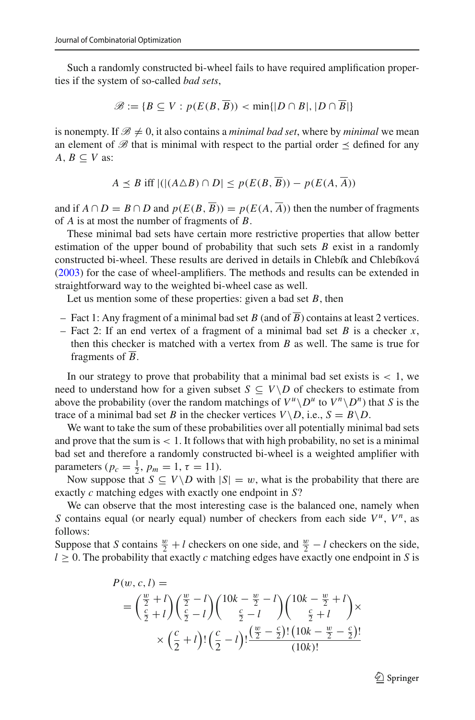Such a randomly constructed bi-wheel fails to have required amplification properties if the system of so-called *bad sets*,

$$
\mathscr{B} := \{ B \subseteq V : p(E(B, \overline{B})) < \min\{|D \cap B|, |D \cap \overline{B}|\}
$$

is nonempty. If  $\mathcal{B} \neq 0$ , it also contains a *minimal bad set*, where by *minimal* we mean an element of  $\mathscr B$  that is minimal with respect to the partial order  $\preceq$  defined for any  $A, B \subseteq V$  as:

$$
A \preceq B \text{ iff } |(|(A \triangle B) \cap D| \le p(E(B, \overline{B})) - p(E(A, \overline{A}))|
$$

and if  $A \cap D = B \cap D$  and  $p(E(B, \overline{B})) = p(E(A, \overline{A}))$  then the number of fragments of *A* is at most the number of fragments of *B*.

These minimal bad sets have certain more restrictive properties that allow better estimation of the upper bound of probability that such sets *B* exist in a randomly constructed bi-wheel. These results are derived in details in Chlebík and Chlebíkov[á](#page-22-15) [\(2003\)](#page-22-15) for the case of wheel-amplifiers. The methods and results can be extended in straightforward way to the weighted bi-wheel case as well.

Let us mention some of these properties: given a bad set *B*, then

- Fact 1: Any fragment of a minimal bad set *B* (and of  $\overline{B}$ ) contains at least 2 vertices.
- Fact 2: If an end vertex of a fragment of a minimal bad set *B* is a checker *x*, then this checker is matched with a vertex from *B* as well. The same is true for fragments of *B*.

In our strategy to prove that probability that a minimal bad set exists is  $< 1$ , we need to understand how for a given subset  $S \subseteq V \setminus D$  of checkers to estimate from above the probability (over the random matchings of  $V^u \backslash D^u$  to  $V^n \backslash D^n$ ) that *S* is the trace of a minimal bad set *B* in the checker vertices  $V \setminus D$ , i.e.,  $S = B \setminus D$ .

We want to take the sum of these probabilities over all potentially minimal bad sets and prove that the sum is  $< 1$ . It follows that with high probability, no set is a minimal bad set and therefore a randomly constructed bi-wheel is a weighted amplifier with parameters ( $p_c = \frac{1}{2}$ ,  $p_m = 1$ ,  $\tau = 11$ ).

Now suppose that  $S \subseteq V \backslash D$  with  $|S| = w$ , what is the probability that there are exactly *c* matching edges with exactly one endpoint in *S*?

We can observe that the most interesting case is the balanced one, namely when *S* contains equal (or nearly equal) number of checkers from each side  $V^u$ ,  $V^n$ , as follows:

Suppose that *S* contains  $\frac{w}{2} + l$  checkers on one side, and  $\frac{w}{2} - l$  checkers on the side,  $l \geq 0$ . The probability that exactly *c* matching edges have exactly one endpoint in *S* is

$$
P(w, c, l) =
$$
  
=  $\left(\frac{\frac{w}{2} + l}{\frac{c}{2} + l}\right) \left(\frac{\frac{w}{2} - l}{\frac{c}{2} - l}\right) \left(\frac{10k - \frac{w}{2} - l}{\frac{c}{2} - l}\right) \left(\frac{10k - \frac{w}{2} + l}{\frac{c}{2} + l}\right) \times$   
 $\times \left(\frac{c}{2} + l\right) \left(\frac{c}{2} - l\right) \left(\frac{\frac{w}{2} - \frac{c}{2}\right)!(10k - \frac{w}{2} - \frac{c}{2})!}{(10k)!}$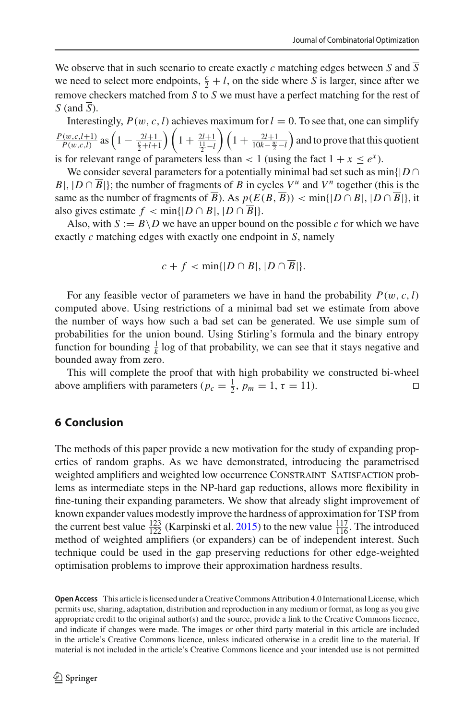We observe that in such scenario to create exactly *c* matching edges between *S* and  $\overline{S}$ we need to select more endpoints,  $\frac{c}{2} + l$ , on the side where *S* is larger, since after we remove checkers matched from *S* to  $\overline{S}$  we must have a perfect matching for the rest of *S* (and *S*).

Interestingly,  $P(w, c, l)$  achieves maximum for  $l = 0$ . To see that, one can simplify  $\frac{P(w,c,l+1)}{P(w,c,l)}$  as  $\left(1 - \frac{2l+1}{\frac{c}{2}+l+1}\right)$  $\binom{1 + \frac{2l+1}{\frac{11}{2}-l}}{1}$  $\left(1 + \frac{2l+1}{10k-\frac{w}{2}-l}\right)$ ) and to prove that this quotient is for relevant range of parameters less than  $< 1$  (using the fact  $1 + x \le e^x$ ).

We consider several parameters for a potentially minimal bad set such as  $\min\{|D \cap$ *B*|,  $|D \cap \overline{B}|$ }; the number of fragments of *B* in cycles  $V^u$  and  $V^n$  together (this is the same as the number of fragments of  $\overline{B}$ ). As  $p(E(B, \overline{B})) < \min\{|D \cap B|, |D \cap \overline{B}|\}$ , it also gives estimate  $f < \min\{|D \cap B|, |D \cap \overline{B}|\}.$ 

Also, with  $S := B \setminus D$  we have an upper bound on the possible *c* for which we have exactly *c* matching edges with exactly one endpoint in *S*, namely

$$
c+f<\min\{|D\cap B|,|D\cap\overline{B}|\}.
$$

For any feasible vector of parameters we have in hand the probability  $P(w, c, l)$ computed above. Using restrictions of a minimal bad set we estimate from above the number of ways how such a bad set can be generated. We use simple sum of probabilities for the union bound. Using Stirling's formula and the binary entropy function for bounding  $\frac{1}{k}$  log of that probability, we can see that it stays negative and bounded away from zero.

This will complete the proof that with high probability we constructed bi-wheel above amplifiers with parameters  $(p_c = \frac{1}{2}, p_m = 1, \tau = 11)$ .

# **6 Conclusion**

The methods of this paper provide a new motivation for the study of expanding properties of random graphs. As we have demonstrated, introducing the parametrised weighted amplifiers and weighted low occurrence CONSTRAINT SATISFACTION problems as intermediate steps in the NP-hard gap reductions, allows more flexibility in fine-tuning their expanding parameters. We show that already slight improvement of known expander values modestly improve the hardness of approximation for TSP from the current best value  $\frac{123}{122}$  (Karpinski et al[.](#page-22-13) [2015](#page-22-13)) to the new value  $\frac{117}{116}$ . The introduced method of weighted amplifiers (or expanders) can be of independent interest. Such technique could be used in the gap preserving reductions for other edge-weighted optimisation problems to improve their approximation hardness results.

**Open Access** This article is licensed under a Creative Commons Attribution 4.0 International License, which permits use, sharing, adaptation, distribution and reproduction in any medium or format, as long as you give appropriate credit to the original author(s) and the source, provide a link to the Creative Commons licence, and indicate if changes were made. The images or other third party material in this article are included in the article's Creative Commons licence, unless indicated otherwise in a credit line to the material. If material is not included in the article's Creative Commons licence and your intended use is not permitted